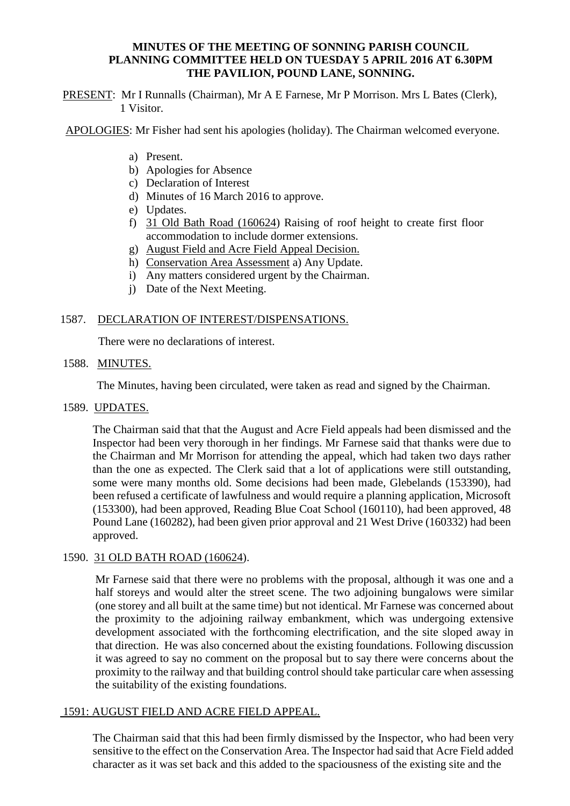# **MINUTES OF THE MEETING OF SONNING PARISH COUNCIL PLANNING COMMITTEE HELD ON TUESDAY 5 APRIL 2016 AT 6.30PM THE PAVILION, POUND LANE, SONNING.**

PRESENT: Mr I Runnalls (Chairman), Mr A E Farnese, Mr P Morrison. Mrs L Bates (Clerk), 1 Visitor.

APOLOGIES: Mr Fisher had sent his apologies (holiday). The Chairman welcomed everyone.

- a) Present.
- b) Apologies for Absence
- c) Declaration of Interest
- d) Minutes of 16 March 2016 to approve.
- e) Updates.
- f) 31 Old Bath Road (160624) Raising of roof height to create first floor accommodation to include dormer extensions.
- g) August Field and Acre Field Appeal Decision.
- h) Conservation Area Assessment a) Any Update.
- i) Any matters considered urgent by the Chairman.
- j) Date of the Next Meeting.

# 1587. DECLARATION OF INTEREST/DISPENSATIONS.

There were no declarations of interest.

#### 1588. MINUTES.

The Minutes, having been circulated, were taken as read and signed by the Chairman.

1589. UPDATES.

The Chairman said that that the August and Acre Field appeals had been dismissed and the Inspector had been very thorough in her findings. Mr Farnese said that thanks were due to the Chairman and Mr Morrison for attending the appeal, which had taken two days rather than the one as expected. The Clerk said that a lot of applications were still outstanding, some were many months old. Some decisions had been made, Glebelands (153390), had been refused a certificate of lawfulness and would require a planning application, Microsoft (153300), had been approved, Reading Blue Coat School (160110), had been approved, 48 Pound Lane (160282), had been given prior approval and 21 West Drive (160332) had been approved.

#### 1590. 31 OLD BATH ROAD (160624).

Mr Farnese said that there were no problems with the proposal, although it was one and a half storeys and would alter the street scene. The two adjoining bungalows were similar (one storey and all built at the same time) but not identical. Mr Farnese was concerned about the proximity to the adjoining railway embankment, which was undergoing extensive development associated with the forthcoming electrification, and the site sloped away in that direction. He was also concerned about the existing foundations. Following discussion it was agreed to say no comment on the proposal but to say there were concerns about the proximity to the railway and that building control should take particular care when assessing the suitability of the existing foundations.

#### 1591: AUGUST FIELD AND ACRE FIELD APPEAL.

The Chairman said that this had been firmly dismissed by the Inspector, who had been very sensitive to the effect on the Conservation Area. The Inspector had said that Acre Field added character as it was set back and this added to the spaciousness of the existing site and the